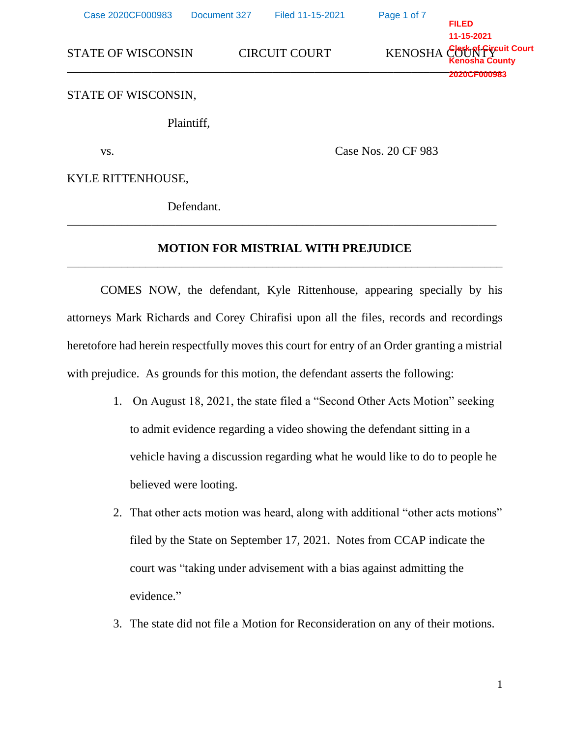| Case 2020CF000983         | Document 327        | Filed 11-15-2021     | Page 1 of 7 | <b>FILED</b>                                                        |
|---------------------------|---------------------|----------------------|-------------|---------------------------------------------------------------------|
| <b>STATE OF WISCONSIN</b> |                     | <b>CIRCUIT COURT</b> |             | 11-15-2021<br>KENOSHA Clark of Fireuit Court<br><b>2020CF000983</b> |
| STATE OF WISCONSIN,       |                     |                      |             |                                                                     |
|                           | Plaintiff,          |                      |             |                                                                     |
| VS.                       | Case Nos. 20 CF 983 |                      |             |                                                                     |
| KYLE RITTENHOUSE,         |                     |                      |             |                                                                     |
|                           | Defendant           |                      |             |                                                                     |

## **MOTION FOR MISTRIAL WITH PREJUDICE** \_\_\_\_\_\_\_\_\_\_\_\_\_\_\_\_\_\_\_\_\_\_\_\_\_\_\_\_\_\_\_\_\_\_\_\_\_\_\_\_\_\_\_\_\_\_\_\_\_\_\_\_\_\_\_\_\_\_\_\_\_\_\_\_\_\_\_\_\_\_\_\_

\_\_\_\_\_\_\_\_\_\_\_\_\_\_\_\_\_\_\_\_\_\_\_\_\_\_\_\_\_\_\_\_\_\_\_\_\_\_\_\_\_\_\_\_\_\_\_\_\_\_\_\_\_\_\_\_\_\_\_\_\_\_\_\_\_\_\_\_\_\_\_

COMES NOW, the defendant, Kyle Rittenhouse, appearing specially by his attorneys Mark Richards and Corey Chirafisi upon all the files, records and recordings heretofore had herein respectfully moves this court for entry of an Order granting a mistrial with prejudice. As grounds for this motion, the defendant asserts the following:

- 1. On August 18, 2021, the state filed a "Second Other Acts Motion" seeking to admit evidence regarding a video showing the defendant sitting in a vehicle having a discussion regarding what he would like to do to people he believed were looting.
- 2. That other acts motion was heard, along with additional "other acts motions" filed by the State on September 17, 2021. Notes from CCAP indicate the court was "taking under advisement with a bias against admitting the evidence."
- 3. The state did not file a Motion for Reconsideration on any of their motions.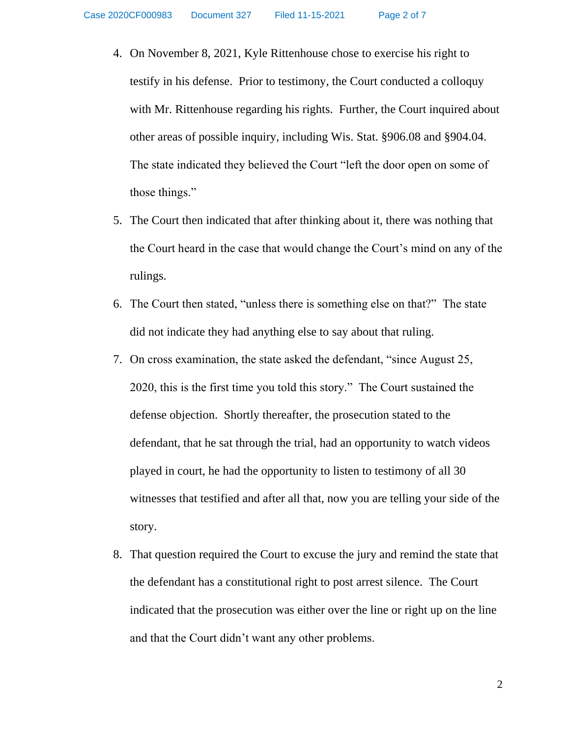- 4. On November 8, 2021, Kyle Rittenhouse chose to exercise his right to testify in his defense. Prior to testimony, the Court conducted a colloquy with Mr. Rittenhouse regarding his rights. Further, the Court inquired about other areas of possible inquiry, including Wis. Stat. §906.08 and §904.04. The state indicated they believed the Court "left the door open on some of those things."
- 5. The Court then indicated that after thinking about it, there was nothing that the Court heard in the case that would change the Court's mind on any of the rulings.
- 6. The Court then stated, "unless there is something else on that?" The state did not indicate they had anything else to say about that ruling.
- 7. On cross examination, the state asked the defendant, "since August 25, 2020, this is the first time you told this story." The Court sustained the defense objection. Shortly thereafter, the prosecution stated to the defendant, that he sat through the trial, had an opportunity to watch videos played in court, he had the opportunity to listen to testimony of all 30 witnesses that testified and after all that, now you are telling your side of the story.
- 8. That question required the Court to excuse the jury and remind the state that the defendant has a constitutional right to post arrest silence. The Court indicated that the prosecution was either over the line or right up on the line and that the Court didn't want any other problems.

2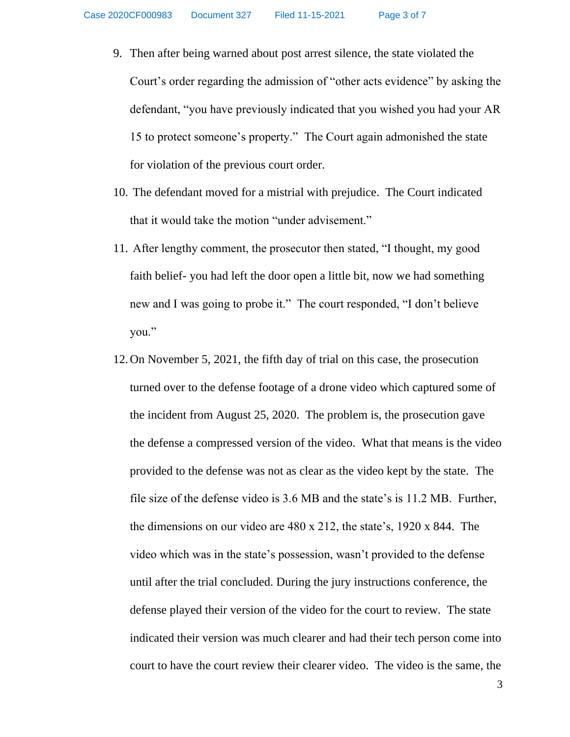- 9. Then after being warned about post arrest silence, the state violated the Court's order regarding the admission of "other acts evidence" by asking the defendant, "you have previously indicated that you wished you had your AR 15 to protect someone's property." The Court again admonished the state for violation of the previous court order.
- 10. The defendant moved for a mistrial with prejudice. The Court indicated that it would take the motion "under advisement."
- 11. After lengthy comment, the prosecutor then stated, "I thought, my good faith belief- you had left the door open a little bit, now we had something new and I was going to probe it." The court responded, "I don't believe you."
- 12.On November 5, 2021, the fifth day of trial on this case, the prosecution turned over to the defense footage of a drone video which captured some of the incident from August 25, 2020. The problem is, the prosecution gave the defense a compressed version of the video. What that means is the video provided to the defense was not as clear as the video kept by the state. The file size of the defense video is 3.6 MB and the state's is 11.2 MB. Further, the dimensions on our video are 480 x 212, the state's, 1920 x 844. The video which was in the state's possession, wasn't provided to the defense until after the trial concluded. During the jury instructions conference, the defense played their version of the video for the court to review. The state indicated their version was much clearer and had their tech person come into court to have the court review their clearer video. The video is the same, the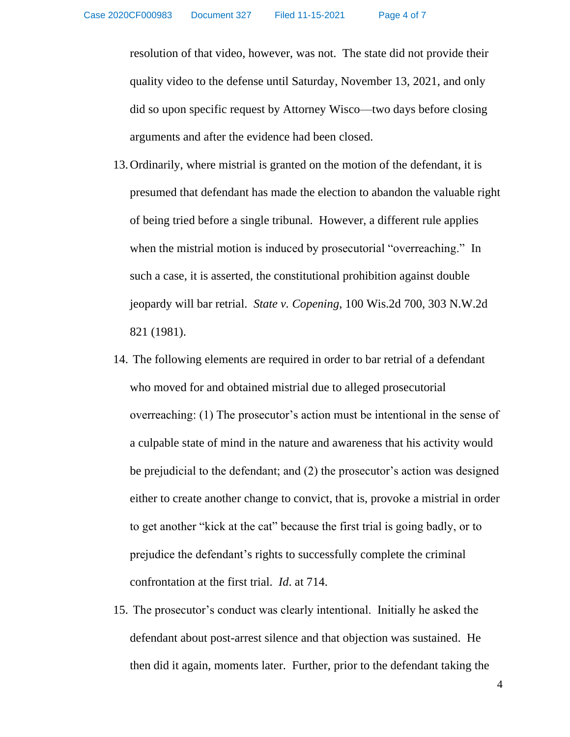resolution of that video, however, was not. The state did not provide their quality video to the defense until Saturday, November 13, 2021, and only did so upon specific request by Attorney Wisco—two days before closing arguments and after the evidence had been closed.

- 13.Ordinarily, where mistrial is granted on the motion of the defendant, it is presumed that defendant has made the election to abandon the valuable right of being tried before a single tribunal. However, a different rule applies when the mistrial motion is induced by prosecutorial "overreaching." In such a case, it is asserted, the constitutional prohibition against double jeopardy will bar retrial. *State v. Copening*, 100 Wis.2d 700, 303 N.W.2d 821 (1981).
- 14. The following elements are required in order to bar retrial of a defendant who moved for and obtained mistrial due to alleged prosecutorial overreaching: (1) The prosecutor's action must be intentional in the sense of a culpable state of mind in the nature and awareness that his activity would be prejudicial to the defendant; and (2) the prosecutor's action was designed either to create another change to convict, that is, provoke a mistrial in order to get another "kick at the cat" because the first trial is going badly, or to prejudice the defendant's rights to successfully complete the criminal confrontation at the first trial. *Id*. at 714.
- 15. The prosecutor's conduct was clearly intentional. Initially he asked the defendant about post-arrest silence and that objection was sustained. He then did it again, moments later. Further, prior to the defendant taking the

4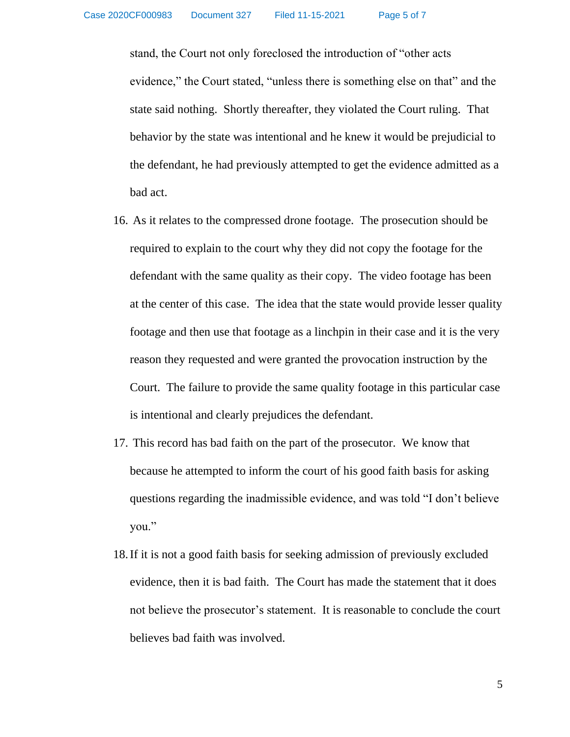stand, the Court not only foreclosed the introduction of "other acts evidence," the Court stated, "unless there is something else on that" and the state said nothing. Shortly thereafter, they violated the Court ruling. That behavior by the state was intentional and he knew it would be prejudicial to the defendant, he had previously attempted to get the evidence admitted as a bad act.

- 16. As it relates to the compressed drone footage. The prosecution should be required to explain to the court why they did not copy the footage for the defendant with the same quality as their copy. The video footage has been at the center of this case. The idea that the state would provide lesser quality footage and then use that footage as a linchpin in their case and it is the very reason they requested and were granted the provocation instruction by the Court. The failure to provide the same quality footage in this particular case is intentional and clearly prejudices the defendant.
- 17. This record has bad faith on the part of the prosecutor. We know that because he attempted to inform the court of his good faith basis for asking questions regarding the inadmissible evidence, and was told "I don't believe you."
- 18.If it is not a good faith basis for seeking admission of previously excluded evidence, then it is bad faith. The Court has made the statement that it does not believe the prosecutor's statement. It is reasonable to conclude the court believes bad faith was involved.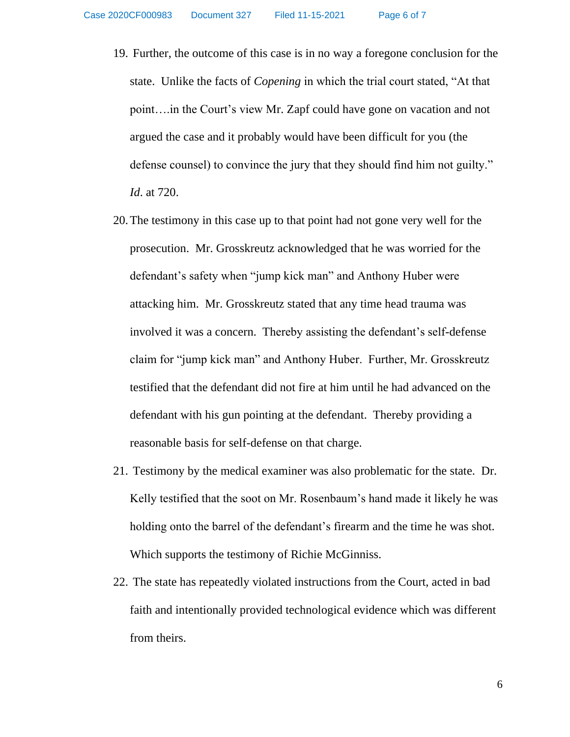- 19. Further, the outcome of this case is in no way a foregone conclusion for the state. Unlike the facts of *Copening* in which the trial court stated, "At that point….in the Court's view Mr. Zapf could have gone on vacation and not argued the case and it probably would have been difficult for you (the defense counsel) to convince the jury that they should find him not guilty." *Id*. at 720.
- 20.The testimony in this case up to that point had not gone very well for the prosecution. Mr. Grosskreutz acknowledged that he was worried for the defendant's safety when "jump kick man" and Anthony Huber were attacking him. Mr. Grosskreutz stated that any time head trauma was involved it was a concern. Thereby assisting the defendant's self-defense claim for "jump kick man" and Anthony Huber. Further, Mr. Grosskreutz testified that the defendant did not fire at him until he had advanced on the defendant with his gun pointing at the defendant. Thereby providing a reasonable basis for self-defense on that charge.
- 21. Testimony by the medical examiner was also problematic for the state. Dr. Kelly testified that the soot on Mr. Rosenbaum's hand made it likely he was holding onto the barrel of the defendant's firearm and the time he was shot. Which supports the testimony of Richie McGinniss.
- 22. The state has repeatedly violated instructions from the Court, acted in bad faith and intentionally provided technological evidence which was different from theirs.